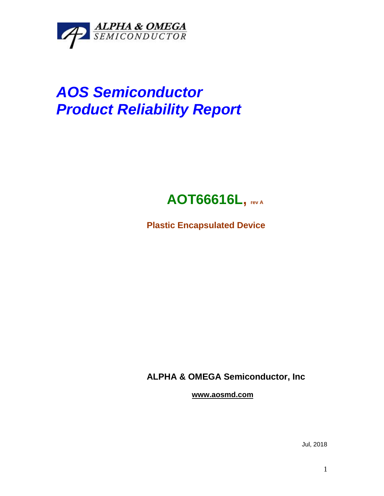

## *AOS Semiconductor Product Reliability Report*



**Plastic Encapsulated Device**

**ALPHA & OMEGA Semiconductor, Inc**

**www.aosmd.com**

Jul, 2018